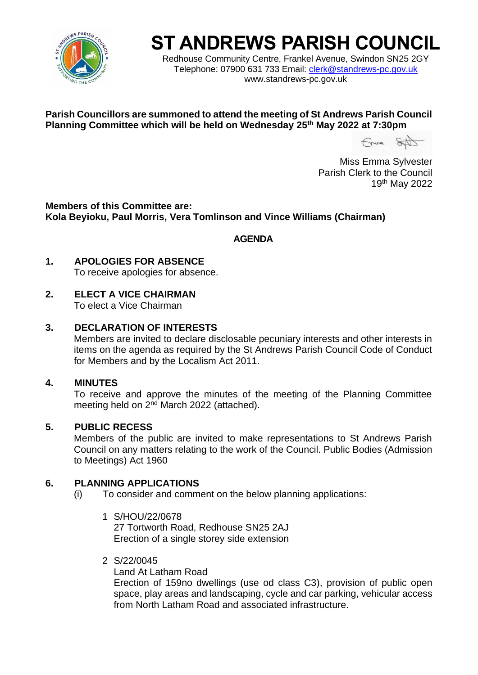

# **ST ANDREWS PARISH COUNCIL**

Redhouse Community Centre, Frankel Avenue, Swindon SN25 2GY Telephone: 07900 631 733 Email: [clerk@standrews-pc.gov.uk](mailto:clerk@standrews-pc.gov.uk) www.standrews-pc.gov.uk

**Parish Councillors are summoned to attend the meeting of St Andrews Parish Council Planning Committee which will be held on Wednesday 25th May 2022 at 7:30pm**

Grund SAD

Miss Emma Sylvester Parish Clerk to the Council 19th May 2022

**Members of this Committee are: Kola Beyioku, Paul Morris, Vera Tomlinson and Vince Williams (Chairman)**

**AGENDA**

**1. APOLOGIES FOR ABSENCE**

To receive apologies for absence.

### **2. ELECT A VICE CHAIRMAN**

To elect a Vice Chairman

#### **3. DECLARATION OF INTERESTS**

Members are invited to declare disclosable pecuniary interests and other interests in items on the agenda as required by the St Andrews Parish Council Code of Conduct for Members and by the Localism Act 2011.

#### **4. MINUTES**

To receive and approve the minutes of the meeting of the Planning Committee meeting held on 2<sup>nd</sup> March 2022 (attached).

#### **5. PUBLIC RECESS**

Members of the public are invited to make representations to St Andrews Parish Council on any matters relating to the work of the Council. Public Bodies (Admission to Meetings) Act 1960

#### **6. PLANNING APPLICATIONS**

(i) To consider and comment on the below planning applications:

- 1 S/HOU/22/0678 27 Tortworth Road, Redhouse SN25 2AJ Erection of a single storey side extension
- 2 S/22/0045

Land At Latham Road Erection of 159no dwellings (use od class C3), provision of public open space, play areas and landscaping, cycle and car parking, vehicular access from North Latham Road and associated infrastructure.